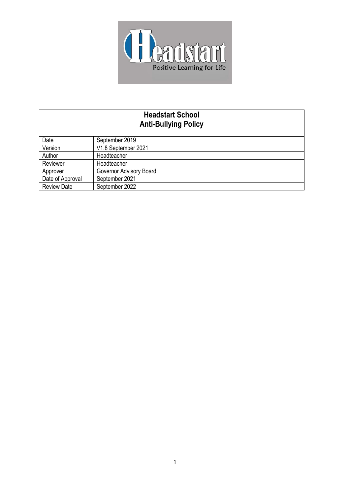

# **Headstart School Anti-Bullying Policy**

| Date               | September 2019          |
|--------------------|-------------------------|
| Version            | V1.8 September 2021     |
| Author             | Headteacher             |
| Reviewer           | Headteacher             |
| Approver           | Governor Advisory Board |
| Date of Approval   | September 2021          |
| <b>Review Date</b> | September 2022          |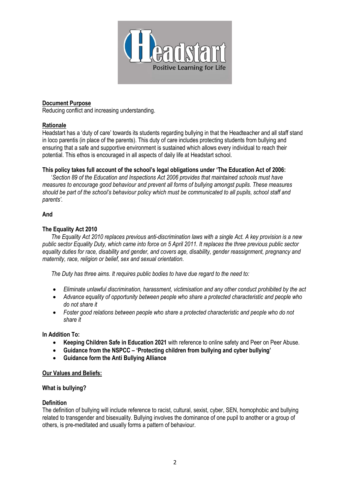

## **Document Purpose**

Reducing conflict and increasing understanding.

## **Rationale**

Headstart has a 'duty of care' towards its students regarding bullying in that the Headteacher and all staff stand in loco parentis (in place of the parents). This duty of care includes protecting students from bullying and ensuring that a safe and supportive environment is sustained which allows every individual to reach their potential. This ethos is encouraged in all aspects of daily life at Headstart school.

## **This policy takes full account of the school's legal obligations under 'The Education Act of 2006:**

 '*Section 89 of the Education and Inspections Act 2006 provides that maintained schools must have measures to encourage good behaviour and prevent all forms of bullying amongst pupils. These measures should be part of the school's behaviour policy which must be communicated to all pupils, school staff and parents'.*

#### **And**

## **The Equality Act 2010**

 *The Equality Act 2010 replaces previous anti-discrimination laws with a single Act. A key provision is a new public sector Equality Duty, which came into force on 5 April 2011. It replaces the three previous public sector equality duties for race, disability and gender, and covers age, disability, gender reassignment, pregnancy and maternity, race, religion or belief, sex and sexual orientation.* 

 *The Duty has three aims. It requires public bodies to have due regard to the need to:*

- *Eliminate unlawful discrimination, harassment, victimisation and any other conduct prohibited by the act*
- *Advance equality of opportunity between people who share a protected characteristic and people who do not share it*
- *Foster good relations between people who share a protected characteristic and people who do not share it*

**In Addition To:**

- **Keeping Children Safe in Education 2021** with reference to online safety and Peer on Peer Abuse.
- **Guidance from the NSPCC – 'Protecting children from bullying and cyber bullying'**
- **Guidance form the Anti Bullying Alliance**

## **Our Values and Beliefs:**

## **What is bullying?**

## **Definition**

The definition of bullying will include reference to racist, cultural, sexist, cyber, SEN, homophobic and bullying related to transgender and bisexuality. Bullying involves the dominance of one pupil to another or a group of others, is pre-meditated and usually forms a pattern of behaviour.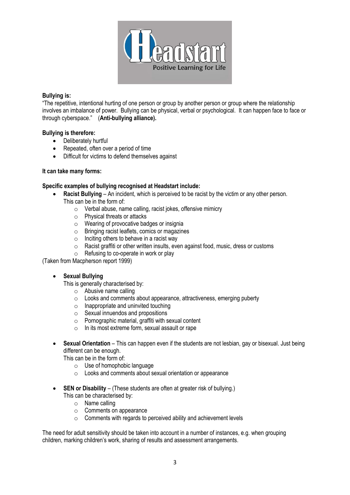

## **Bullying is:**

"The repetitive, intentional hurting of one person or group by another person or group where the relationship involves an imbalance of power. Bullying can be physical, verbal or psychological. It can happen face to face or through cyberspace." (**Anti-bullying alliance).**

## **Bullying is therefore:**

- Deliberately hurtful
- Repeated, often over a period of time
- Difficult for victims to defend themselves against

## **It can take many forms:**

## **Specific examples of bullying recognised at Headstart include:**

- **Racist Bullying** An incident, which is perceived to be racist by the victim or any other person. This can be in the form of:
	- o Verbal abuse, name calling, racist jokes, offensive mimicry
	- o Physical threats or attacks
	- o Wearing of provocative badges or insignia
	- o Bringing racist leaflets, comics or magazines
	- $\circ$  Inciting others to behave in a racist way
	- o Racist graffiti or other written insults, even against food, music, dress or customs
	- o Refusing to co-operate in work or play

(Taken from Macpherson report 1999)

# • **Sexual Bullying**

This is generally characterised by:

- o Abusive name calling
- o Looks and comments about appearance, attractiveness, emerging puberty
- $\circ$  Inappropriate and uninvited touching
- $\circ$  Sexual innuendos and propositions
- o Pornographic material, graffiti with sexual content
- In its most extreme form, sexual assault or rape
- **Sexual Orientation** This can happen even if the students are not lesbian, gay or bisexual. Just being different can be enough.

This can be in the form of:

- o Use of homophobic language
- o Looks and comments about sexual orientation or appearance
- **SEN or Disability** (These students are often at greater risk of bullying.) This can be characterised by:
	- o Name calling
	- o Comments on appearance
	- o Comments with regards to perceived ability and achievement levels

The need for adult sensitivity should be taken into account in a number of instances, e.g. when grouping children, marking children's work, sharing of results and assessment arrangements.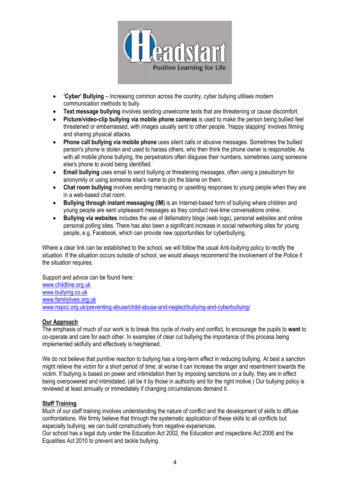

- **'Cyber' Bullying** Increasing common across the country, cyber bullying utilises modern communication methods to bully.
- **Text message bullying** involves sending unwelcome texts that are threatening or cause discomfort.
- **Picture/video-clip bullying via mobile phone cameras** is used to make the person being bullied feel threatened or embarrassed, with images usually sent to other people. 'Happy slapping' involves filming and sharing physical attacks.
- **Phone call bullying via mobile phone** uses silent calls or abusive messages. Sometimes the bullied person's phone is stolen and used to harass others, who then think the phone owner is responsible. As with all mobile phone bullying, the perpetrators often disguise their numbers, sometimes using someone else's phone to avoid being identified.
- **Email bullying** uses email to send bullying or threatening messages, often using a pseudonym for anonymity or using someone else's name to pin the blame on them.
- **Chat room bullying** involves sending menacing or upsetting responses to young people when they are in a web-based chat room.
- **Bullying through instant messaging (IM)** is an Internet-based form of bullying where children and young people are sent unpleasant messages as they conduct real-time conversations online.
- **Bullying via websites** includes the use of defamatory blogs (web logs), personal websites and online personal polling sites. There has also been a significant increase in social networking sites for young people, e.g. Facebook, which can provide new opportunities for cyberbullying.

Where a clear link can be established to the school, we will follow the usual Anti-bullying policy to rectify the situation. If the situation occurs outside of school, we would always recommend the involvement of the Police if the situation requires.

Support and advice can be found here: [www.childline.org.uk](http://www.childline.org.uk/) [www.bullying.co.uk](http://www.bullying.co.uk/) [www.familylives.org.uk](http://www.familylives.org.uk/) [www.nspcc.org.uk/preventing-abuse/child-abuse-and-neglect/bullying-and-cyberbullying/](http://www.nspcc.org.uk/preventing-abuse/child-abuse-and-neglect/bullying-and-cyberbullying/)

# **Our Approach**

The emphasis of much of our work is to break this cycle of rivalry and conflict, to encourage the pupils to **want** to co-operate and care for each other. In examples of clear cut bullying the importance of this process being implemented skilfully and effectively is heightened.

We do not believe that punitive reaction to bullying has a long-term effect in reducing bullying. At best a sanction might relieve the victim for a short period of time; at worse it can increase the anger and resentment towards the victim. If bullying is based on power and intimidation then by imposing sanctions on a bully, they are in effect being overpowered and intimidated, (all be it by those in authority and for the right motive.) Our bullying policy is reviewed at least annually or immediately if changing circumstances demand it.

## **Staff Training**

Much of our staff training involves understanding the nature of conflict and the development of skills to diffuse confrontations. We firmly believe that through the systematic application of these skills to all conflicts but especially bullying, we can build constructively from negative experiences.

Our school has a legal duty under the Education Act 2002, the Education and inspections Act 2006 and the Equalities Act 2010 to prevent and tackle bullying.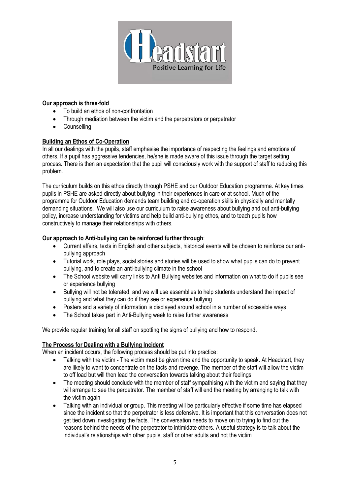

# **Our approach is three-fold**

- To build an ethos of non-confrontation
- Through mediation between the victim and the perpetrators or perpetrator
- Counselling

# **Building an Ethos of Co-Operation**

In all our dealings with the pupils, staff emphasise the importance of respecting the feelings and emotions of others. If a pupil has aggressive tendencies, he/she is made aware of this issue through the target setting process. There is then an expectation that the pupil will consciously work with the support of staff to reducing this problem.

The curriculum builds on this ethos directly through PSHE and our Outdoor Education programme. At key times pupils in PSHE are asked directly about bullying in their experiences in care or at school. Much of the programme for Outdoor Education demands team building and co-operation skills in physically and mentally demanding situations. We will also use our curriculum to raise awareness about bullying and out anti-bullying policy, increase understanding for victims and help build anti-bullying ethos, and to teach pupils how constructively to manage their relationships with others.

# **Our approach to Anti-bullying can be reinforced further through**:

- Current affairs, texts in English and other subjects, historical events will be chosen to reinforce our antibullying approach
- Tutorial work, role plays, social stories and stories will be used to show what pupils can do to prevent bullying, and to create an anti-bullying climate in the school
- The School website will carry links to Anti Bullying websites and information on what to do if pupils see or experience bullying
- Bullying will not be tolerated, and we will use assemblies to help students understand the impact of bullying and what they can do if they see or experience bullying
- Posters and a variety of information is displayed around school in a number of accessible ways
- The School takes part in Anti-Bullying week to raise further awareness

We provide regular training for all staff on spotting the signs of bullying and how to respond.

# **The Process for Dealing with a Bullying Incident**

When an incident occurs, the following process should be put into practice:

- Talking with the victim The victim must be given time and the opportunity to speak. At Headstart, they are likely to want to concentrate on the facts and revenge. The member of the staff will allow the victim to off load but will then lead the conversation towards talking about their feelings
- The meeting should conclude with the member of staff sympathising with the victim and saying that they will arrange to see the perpetrator. The member of staff will end the meeting by arranging to talk with the victim again
- Talking with an individual or group. This meeting will be particularly effective if some time has elapsed since the incident so that the perpetrator is less defensive. It is important that this conversation does not get tied down investigating the facts. The conversation needs to move on to trying to find out the reasons behind the needs of the perpetrator to intimidate others. A useful strategy is to talk about the individual's relationships with other pupils, staff or other adults and not the victim